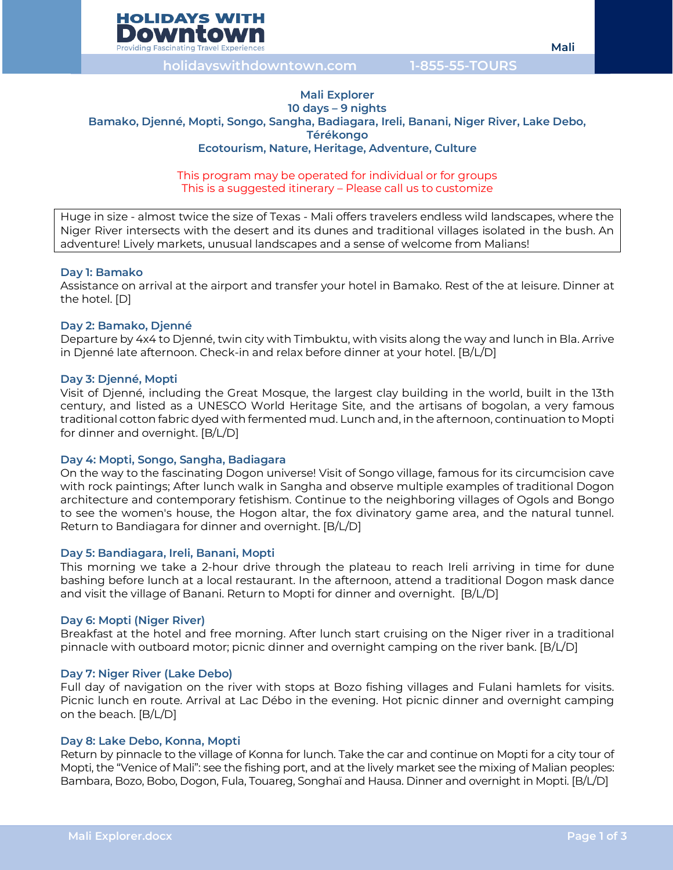

**holidayswithdowntown.com 1-855-55-TOURS**

# **Mali Explorer 10 days – 9 nights Bamako, Djenné, Mopti, Songo, Sangha, Badiagara, Ireli, Banani, Niger River, Lake Debo, Térékongo Ecotourism, Nature, Heritage, Adventure, Culture**

#### This program may be operated for individual or for groups This is a suggested itinerary – Please call us to customize

Huge in size - almost twice the size of Texas - Mali offers travelers endless wild landscapes, where the Niger River intersects with the desert and its dunes and traditional villages isolated in the bush. An adventure! Lively markets, unusual landscapes and a sense of welcome from Malians!

# **Day 1: Bamako**

Assistance on arrival at the airport and transfer your hotel in Bamako. Rest of the at leisure. Dinner at the hotel. [D]

# **Day 2: Bamako, Djenné**

Departure by 4x4 to Djenné, twin city with Timbuktu, with visits along the way and lunch in Bla. Arrive in Djenné late afternoon. Check-in and relax before dinner at your hotel. [B/L/D]

# **Day 3: Djenné, Mopti**

Visit of Djenné, including the Great Mosque, the largest clay building in the world, built in the 13th century, and listed as a UNESCO World Heritage Site, and the artisans of bogolan, a very famous traditional cotton fabric dyed with fermented mud. Lunch and, in the afternoon, continuation to Mopti for dinner and overnight. [B/L/D]

# **Day 4: Mopti, Songo, Sangha, Badiagara**

On the way to the fascinating Dogon universe! Visit of Songo village, famous for its circumcision cave with rock paintings; After lunch walk in Sangha and observe multiple examples of traditional Dogon architecture and contemporary fetishism. Continue to the neighboring villages of Ogols and Bongo to see the women's house, the Hogon altar, the fox divinatory game area, and the natural tunnel. Return to Bandiagara for dinner and overnight. [B/L/D]

# **Day 5: Bandiagara, Ireli, Banani, Mopti**

This morning we take a 2-hour drive through the plateau to reach Ireli arriving in time for dune bashing before lunch at a local restaurant. In the afternoon, attend a traditional Dogon mask dance and visit the village of Banani. Return to Mopti for dinner and overnight. [B/L/D]

# **Day 6: Mopti (Niger River)**

Breakfast at the hotel and free morning. After lunch start cruising on the Niger river in a traditional pinnacle with outboard motor; picnic dinner and overnight camping on the river bank. [B/L/D]

# **Day 7: Niger River (Lake Debo)**

Full day of navigation on the river with stops at Bozo fishing villages and Fulani hamlets for visits. Picnic lunch en route. Arrival at Lac Débo in the evening. Hot picnic dinner and overnight camping on the beach. [B/L/D]

# **Day 8: Lake Debo, Konna, Mopti**

Return by pinnacle to the village of Konna for lunch. Take the car and continue on Mopti for a city tour of Mopti, the "Venice of Mali": see the fishing port, and at the lively market see the mixing of Malian peoples: Bambara, Bozo, Bobo, Dogon, Fula, Touareg, Songhaï and Hausa. Dinner and overnight in Mopti. [B/L/D]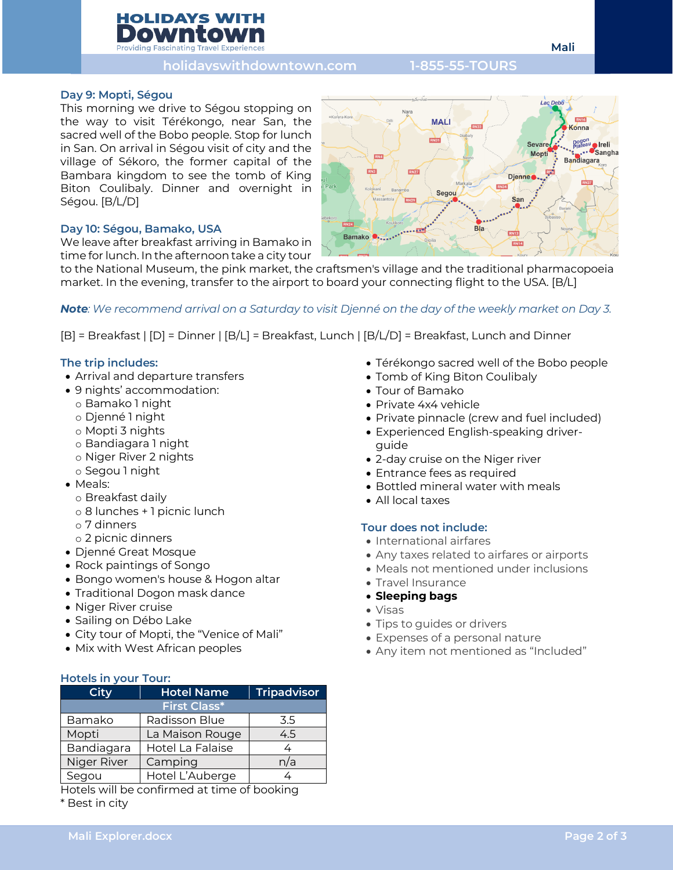# **HOLIDAYS WITH Providing Fascinating Travel Experie**

# **holidayswithdowntown.com 1-855-55-TOURS**

# **Day 9: Mopti, Ségou**

This morning we drive to Ségou stopping on the way to visit Térékongo, near San, the sacred well of the Bobo people. Stop for lunch in San. On arrival in Ségou visit of city and the village of Sékoro, the former capital of the Bambara kingdom to see the tomb of King Biton Coulibaly. Dinner and overnight in Ségou. [B/L/D]

# **Day 10: Ségou, Bamako, USA**

We leave after breakfast arriving in Bamako in time for lunch. In the afternoon take a city tour

to the National Museum, the pink market, the craftsmen's village and the traditional pharmacopoeia market. In the evening, transfer to the airport to board your connecting flight to the USA. [B/L]

# *Note: We recommend arrival on a Saturday to visit Djenné on the day of the weekly market on Day 3.*

[B] = Breakfast | [D] = Dinner | [B/L] = Breakfast, Lunch | [B/L/D] = Breakfast, Lunch and Dinner

# **The trip includes:**

- Arrival and departure transfers
- 9 nights' accommodation:
	- o Bamako 1 night
	- o Djenné 1 night
	- o Mopti 3 nights
	- o Bandiagara 1 night
	- o Niger River 2 nights
	- o Segou 1 night
- Meals:
	- o Breakfast daily
	- o 8 lunches + 1 picnic lunch
	- o 7 dinners
	- o 2 picnic dinners
- Djenné Great Mosque
- Rock paintings of Songo
- Bongo women's house & Hogon altar
- Traditional Dogon mask dance
- Niger River cruise
- Sailing on Débo Lake
- City tour of Mopti, the "Venice of Mali"
- Mix with West African peoples

# **Hotels in your Tour:**

| <b>City</b>         | <b>Hotel Name</b> | <b>Tripadvisor</b> |
|---------------------|-------------------|--------------------|
| <b>First Class*</b> |                   |                    |
| Bamako              | Radisson Blue     | 3.5                |
| Mopti               | La Maison Rouge   | 4.5                |
| Bandiagara          | Hotel La Falaise  |                    |
| Niger River         | Camping           | n/a                |
| Segou               | Hotel L'Auberge   |                    |

Hotels will be confirmed at time of booking

\* Best in city



- Térékongo sacred well of the Bobo people
- Tomb of King Biton Coulibaly
- Tour of Bamako
- Private 4x4 vehicle
- Private pinnacle (crew and fuel included)
- Experienced English-speaking driverguide
- 2-day cruise on the Niger river
- Entrance fees as required
- Bottled mineral water with meals
- All local taxes

# **Tour does not include:**

- International airfares
- Any taxes related to airfares or airports
- Meals not mentioned under inclusions
- Travel Insurance
- **Sleeping bags**
- Visas
- Tips to guides or drivers
- Expenses of a personal nature
- Any item not mentioned as "Included"